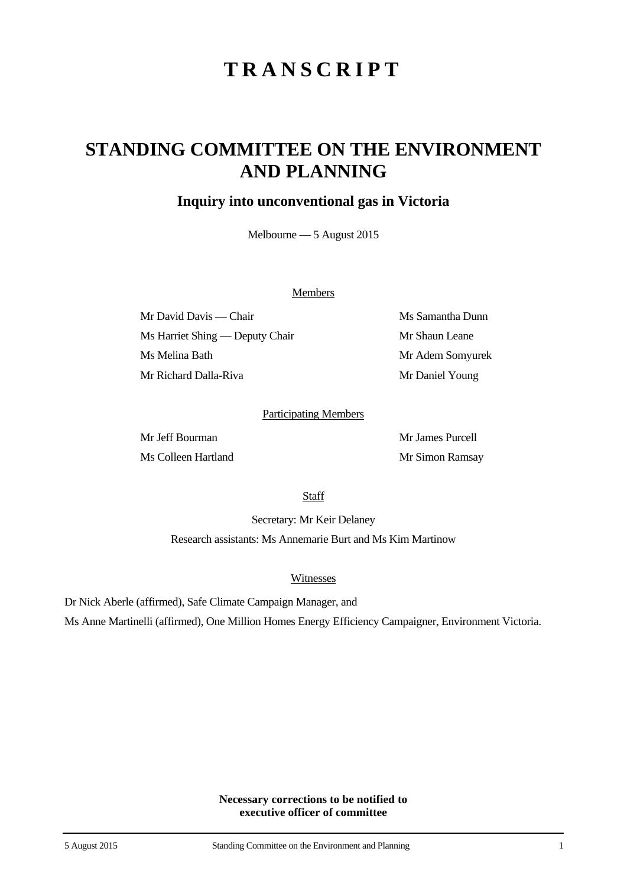# **TRANSCRIPT**

## **STANDING COMMITTEE ON THE ENVIRONMENT AND PLANNING**

### **Inquiry into unconventional gas in Victoria**

Melbourne — 5 August 2015

#### **Members**

Mr David Davis — Chair Ms Samantha Dunn Ms Harriet Shing — Deputy Chair Mr Shaun Leane Ms Melina Bath Mr Adem Somyurek Mr Richard Dalla-Riva Mr Daniel Young

#### Participating Members

Mr Jeff Bourman Mr James Purcell Ms Colleen Hartland Mr Simon Ramsay

**Staff** 

Secretary: Mr Keir Delaney Research assistants: Ms Annemarie Burt and Ms Kim Martinow

#### Witnesses

Dr Nick Aberle (affirmed), Safe Climate Campaign Manager, and

Ms Anne Martinelli (affirmed), One Million Homes Energy Efficiency Campaigner, Environment Victoria.

**Necessary corrections to be notified to executive officer of committee**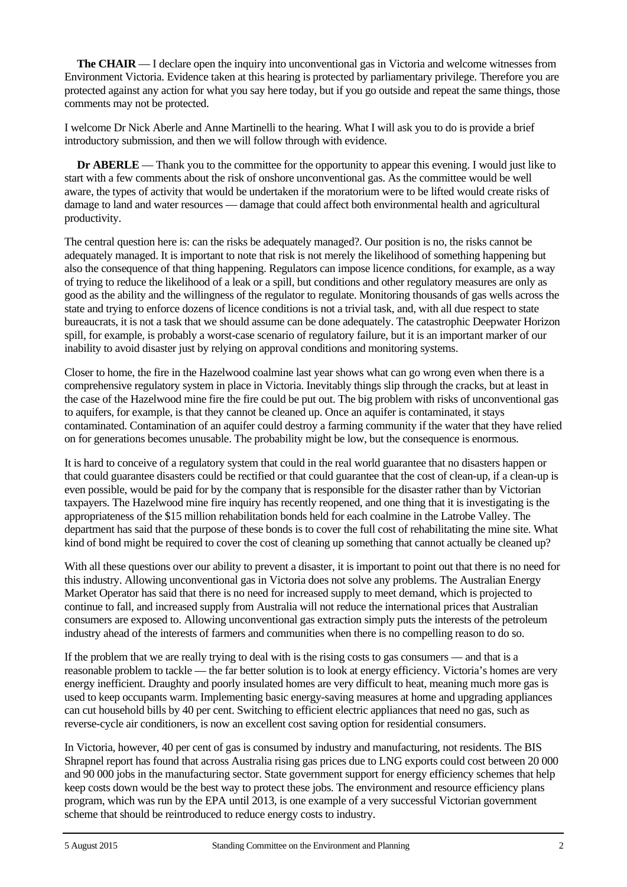**The CHAIR** — I declare open the inquiry into unconventional gas in Victoria and welcome witnesses from Environment Victoria. Evidence taken at this hearing is protected by parliamentary privilege. Therefore you are protected against any action for what you say here today, but if you go outside and repeat the same things, those comments may not be protected.

I welcome Dr Nick Aberle and Anne Martinelli to the hearing. What I will ask you to do is provide a brief introductory submission, and then we will follow through with evidence.

**Dr ABERLE** — Thank you to the committee for the opportunity to appear this evening. I would just like to start with a few comments about the risk of onshore unconventional gas. As the committee would be well aware, the types of activity that would be undertaken if the moratorium were to be lifted would create risks of damage to land and water resources — damage that could affect both environmental health and agricultural productivity.

The central question here is: can the risks be adequately managed?. Our position is no, the risks cannot be adequately managed. It is important to note that risk is not merely the likelihood of something happening but also the consequence of that thing happening. Regulators can impose licence conditions, for example, as a way of trying to reduce the likelihood of a leak or a spill, but conditions and other regulatory measures are only as good as the ability and the willingness of the regulator to regulate. Monitoring thousands of gas wells across the state and trying to enforce dozens of licence conditions is not a trivial task, and, with all due respect to state bureaucrats, it is not a task that we should assume can be done adequately. The catastrophic Deepwater Horizon spill, for example, is probably a worst-case scenario of regulatory failure, but it is an important marker of our inability to avoid disaster just by relying on approval conditions and monitoring systems.

Closer to home, the fire in the Hazelwood coalmine last year shows what can go wrong even when there is a comprehensive regulatory system in place in Victoria. Inevitably things slip through the cracks, but at least in the case of the Hazelwood mine fire the fire could be put out. The big problem with risks of unconventional gas to aquifers, for example, is that they cannot be cleaned up. Once an aquifer is contaminated, it stays contaminated. Contamination of an aquifer could destroy a farming community if the water that they have relied on for generations becomes unusable. The probability might be low, but the consequence is enormous.

It is hard to conceive of a regulatory system that could in the real world guarantee that no disasters happen or that could guarantee disasters could be rectified or that could guarantee that the cost of clean-up, if a clean-up is even possible, would be paid for by the company that is responsible for the disaster rather than by Victorian taxpayers. The Hazelwood mine fire inquiry has recently reopened, and one thing that it is investigating is the appropriateness of the \$15 million rehabilitation bonds held for each coalmine in the Latrobe Valley. The department has said that the purpose of these bonds is to cover the full cost of rehabilitating the mine site. What kind of bond might be required to cover the cost of cleaning up something that cannot actually be cleaned up?

With all these questions over our ability to prevent a disaster, it is important to point out that there is no need for this industry. Allowing unconventional gas in Victoria does not solve any problems. The Australian Energy Market Operator has said that there is no need for increased supply to meet demand, which is projected to continue to fall, and increased supply from Australia will not reduce the international prices that Australian consumers are exposed to. Allowing unconventional gas extraction simply puts the interests of the petroleum industry ahead of the interests of farmers and communities when there is no compelling reason to do so.

If the problem that we are really trying to deal with is the rising costs to gas consumers — and that is a reasonable problem to tackle — the far better solution is to look at energy efficiency. Victoria's homes are very energy inefficient. Draughty and poorly insulated homes are very difficult to heat, meaning much more gas is used to keep occupants warm. Implementing basic energy-saving measures at home and upgrading appliances can cut household bills by 40 per cent. Switching to efficient electric appliances that need no gas, such as reverse-cycle air conditioners, is now an excellent cost saving option for residential consumers.

In Victoria, however, 40 per cent of gas is consumed by industry and manufacturing, not residents. The BIS Shrapnel report has found that across Australia rising gas prices due to LNG exports could cost between 20 000 and 90 000 jobs in the manufacturing sector. State government support for energy efficiency schemes that help keep costs down would be the best way to protect these jobs. The environment and resource efficiency plans program, which was run by the EPA until 2013, is one example of a very successful Victorian government scheme that should be reintroduced to reduce energy costs to industry.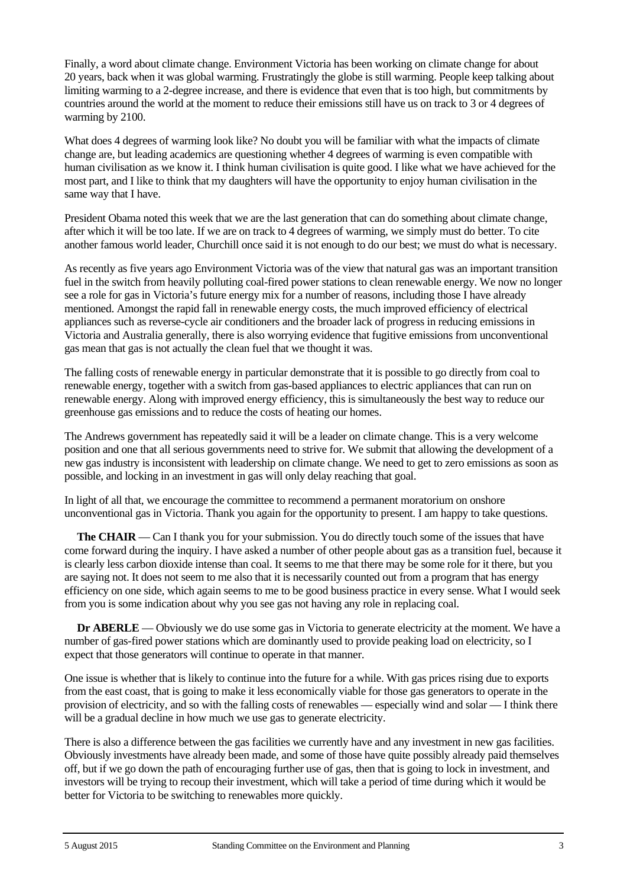Finally, a word about climate change. Environment Victoria has been working on climate change for about 20 years, back when it was global warming. Frustratingly the globe is still warming. People keep talking about limiting warming to a 2-degree increase, and there is evidence that even that is too high, but commitments by countries around the world at the moment to reduce their emissions still have us on track to 3 or 4 degrees of warming by 2100.

What does 4 degrees of warming look like? No doubt you will be familiar with what the impacts of climate change are, but leading academics are questioning whether 4 degrees of warming is even compatible with human civilisation as we know it. I think human civilisation is quite good. I like what we have achieved for the most part, and I like to think that my daughters will have the opportunity to enjoy human civilisation in the same way that I have.

President Obama noted this week that we are the last generation that can do something about climate change, after which it will be too late. If we are on track to 4 degrees of warming, we simply must do better. To cite another famous world leader, Churchill once said it is not enough to do our best; we must do what is necessary.

As recently as five years ago Environment Victoria was of the view that natural gas was an important transition fuel in the switch from heavily polluting coal-fired power stations to clean renewable energy. We now no longer see a role for gas in Victoria's future energy mix for a number of reasons, including those I have already mentioned. Amongst the rapid fall in renewable energy costs, the much improved efficiency of electrical appliances such as reverse-cycle air conditioners and the broader lack of progress in reducing emissions in Victoria and Australia generally, there is also worrying evidence that fugitive emissions from unconventional gas mean that gas is not actually the clean fuel that we thought it was.

The falling costs of renewable energy in particular demonstrate that it is possible to go directly from coal to renewable energy, together with a switch from gas-based appliances to electric appliances that can run on renewable energy. Along with improved energy efficiency, this is simultaneously the best way to reduce our greenhouse gas emissions and to reduce the costs of heating our homes.

The Andrews government has repeatedly said it will be a leader on climate change. This is a very welcome position and one that all serious governments need to strive for. We submit that allowing the development of a new gas industry is inconsistent with leadership on climate change. We need to get to zero emissions as soon as possible, and locking in an investment in gas will only delay reaching that goal.

In light of all that, we encourage the committee to recommend a permanent moratorium on onshore unconventional gas in Victoria. Thank you again for the opportunity to present. I am happy to take questions.

**The CHAIR** — Can I thank you for your submission. You do directly touch some of the issues that have come forward during the inquiry. I have asked a number of other people about gas as a transition fuel, because it is clearly less carbon dioxide intense than coal. It seems to me that there may be some role for it there, but you are saying not. It does not seem to me also that it is necessarily counted out from a program that has energy efficiency on one side, which again seems to me to be good business practice in every sense. What I would seek from you is some indication about why you see gas not having any role in replacing coal.

**Dr ABERLE** — Obviously we do use some gas in Victoria to generate electricity at the moment. We have a number of gas-fired power stations which are dominantly used to provide peaking load on electricity, so I expect that those generators will continue to operate in that manner.

One issue is whether that is likely to continue into the future for a while. With gas prices rising due to exports from the east coast, that is going to make it less economically viable for those gas generators to operate in the provision of electricity, and so with the falling costs of renewables — especially wind and solar — I think there will be a gradual decline in how much we use gas to generate electricity.

There is also a difference between the gas facilities we currently have and any investment in new gas facilities. Obviously investments have already been made, and some of those have quite possibly already paid themselves off, but if we go down the path of encouraging further use of gas, then that is going to lock in investment, and investors will be trying to recoup their investment, which will take a period of time during which it would be better for Victoria to be switching to renewables more quickly.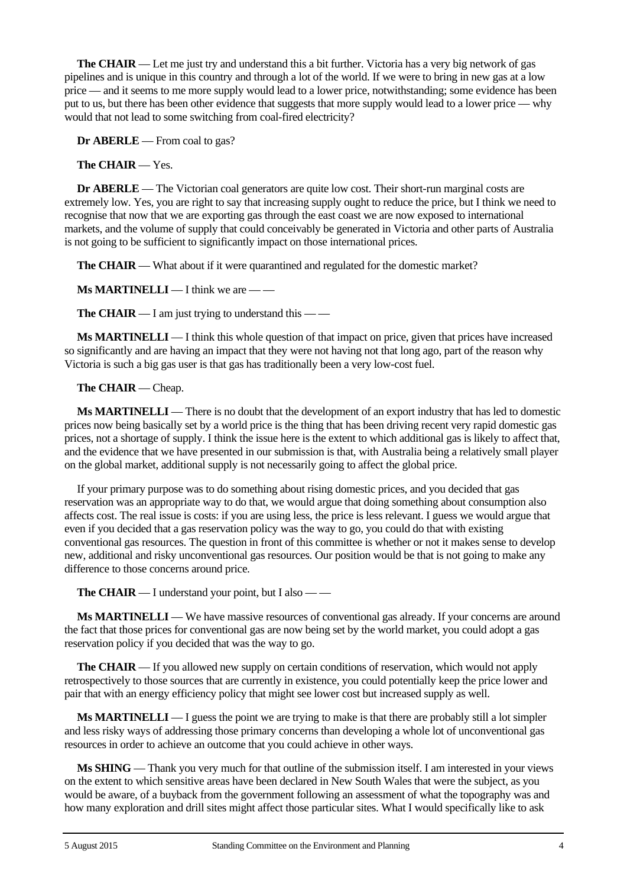**The CHAIR** — Let me just try and understand this a bit further. Victoria has a very big network of gas pipelines and is unique in this country and through a lot of the world. If we were to bring in new gas at a low price — and it seems to me more supply would lead to a lower price, notwithstanding; some evidence has been put to us, but there has been other evidence that suggests that more supply would lead to a lower price — why would that not lead to some switching from coal-fired electricity?

**Dr ABERLE** — From coal to gas?

#### **The CHAIR** — Yes.

**Dr ABERLE** — The Victorian coal generators are quite low cost. Their short-run marginal costs are extremely low. Yes, you are right to say that increasing supply ought to reduce the price, but I think we need to recognise that now that we are exporting gas through the east coast we are now exposed to international markets, and the volume of supply that could conceivably be generated in Victoria and other parts of Australia is not going to be sufficient to significantly impact on those international prices.

**The CHAIR** — What about if it were quarantined and regulated for the domestic market?

**Ms MARTINELLI** — I think we are — —

**The CHAIR** — I am just trying to understand this — —

**Ms MARTINELLI** — I think this whole question of that impact on price, given that prices have increased so significantly and are having an impact that they were not having not that long ago, part of the reason why Victoria is such a big gas user is that gas has traditionally been a very low-cost fuel.

#### **The CHAIR** — Cheap.

**Ms MARTINELLI** — There is no doubt that the development of an export industry that has led to domestic prices now being basically set by a world price is the thing that has been driving recent very rapid domestic gas prices, not a shortage of supply. I think the issue here is the extent to which additional gas is likely to affect that, and the evidence that we have presented in our submission is that, with Australia being a relatively small player on the global market, additional supply is not necessarily going to affect the global price.

If your primary purpose was to do something about rising domestic prices, and you decided that gas reservation was an appropriate way to do that, we would argue that doing something about consumption also affects cost. The real issue is costs: if you are using less, the price is less relevant. I guess we would argue that even if you decided that a gas reservation policy was the way to go, you could do that with existing conventional gas resources. The question in front of this committee is whether or not it makes sense to develop new, additional and risky unconventional gas resources. Our position would be that is not going to make any difference to those concerns around price.

**The CHAIR** — I understand your point, but I also — —

**Ms MARTINELLI** — We have massive resources of conventional gas already. If your concerns are around the fact that those prices for conventional gas are now being set by the world market, you could adopt a gas reservation policy if you decided that was the way to go.

**The CHAIR** — If you allowed new supply on certain conditions of reservation, which would not apply retrospectively to those sources that are currently in existence, you could potentially keep the price lower and pair that with an energy efficiency policy that might see lower cost but increased supply as well.

**Ms MARTINELLI** — I guess the point we are trying to make is that there are probably still a lot simpler and less risky ways of addressing those primary concerns than developing a whole lot of unconventional gas resources in order to achieve an outcome that you could achieve in other ways.

**Ms SHING** — Thank you very much for that outline of the submission itself. I am interested in your views on the extent to which sensitive areas have been declared in New South Wales that were the subject, as you would be aware, of a buyback from the government following an assessment of what the topography was and how many exploration and drill sites might affect those particular sites. What I would specifically like to ask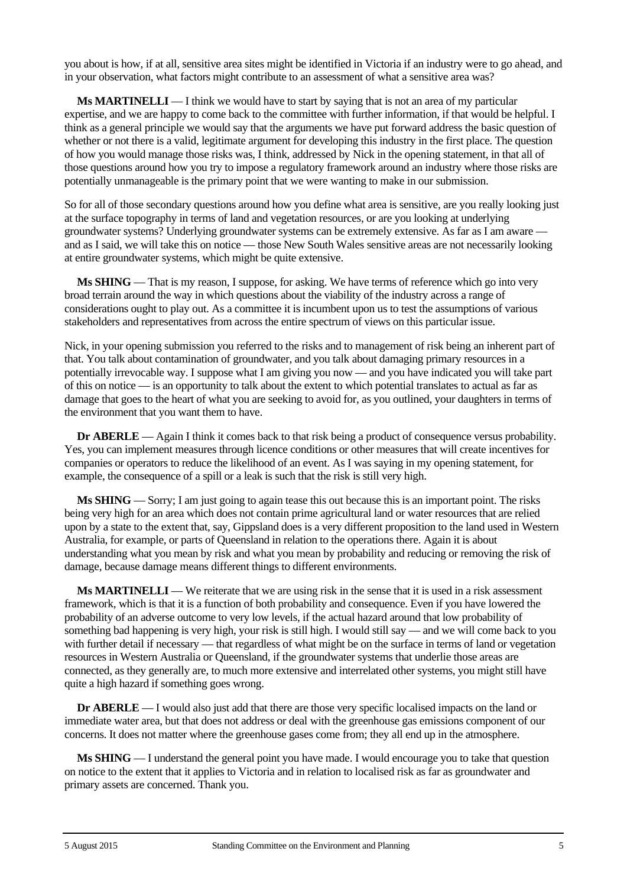you about is how, if at all, sensitive area sites might be identified in Victoria if an industry were to go ahead, and in your observation, what factors might contribute to an assessment of what a sensitive area was?

**Ms MARTINELLI** — I think we would have to start by saying that is not an area of my particular expertise, and we are happy to come back to the committee with further information, if that would be helpful. I think as a general principle we would say that the arguments we have put forward address the basic question of whether or not there is a valid, legitimate argument for developing this industry in the first place. The question of how you would manage those risks was, I think, addressed by Nick in the opening statement, in that all of those questions around how you try to impose a regulatory framework around an industry where those risks are potentially unmanageable is the primary point that we were wanting to make in our submission.

So for all of those secondary questions around how you define what area is sensitive, are you really looking just at the surface topography in terms of land and vegetation resources, or are you looking at underlying groundwater systems? Underlying groundwater systems can be extremely extensive. As far as I am aware and as I said, we will take this on notice — those New South Wales sensitive areas are not necessarily looking at entire groundwater systems, which might be quite extensive.

**Ms SHING** — That is my reason, I suppose, for asking. We have terms of reference which go into very broad terrain around the way in which questions about the viability of the industry across a range of considerations ought to play out. As a committee it is incumbent upon us to test the assumptions of various stakeholders and representatives from across the entire spectrum of views on this particular issue.

Nick, in your opening submission you referred to the risks and to management of risk being an inherent part of that. You talk about contamination of groundwater, and you talk about damaging primary resources in a potentially irrevocable way. I suppose what I am giving you now — and you have indicated you will take part of this on notice — is an opportunity to talk about the extent to which potential translates to actual as far as damage that goes to the heart of what you are seeking to avoid for, as you outlined, your daughters in terms of the environment that you want them to have.

**Dr ABERLE** — Again I think it comes back to that risk being a product of consequence versus probability. Yes, you can implement measures through licence conditions or other measures that will create incentives for companies or operators to reduce the likelihood of an event. As I was saying in my opening statement, for example, the consequence of a spill or a leak is such that the risk is still very high.

**Ms SHING** — Sorry; I am just going to again tease this out because this is an important point. The risks being very high for an area which does not contain prime agricultural land or water resources that are relied upon by a state to the extent that, say, Gippsland does is a very different proposition to the land used in Western Australia, for example, or parts of Queensland in relation to the operations there. Again it is about understanding what you mean by risk and what you mean by probability and reducing or removing the risk of damage, because damage means different things to different environments.

**Ms MARTINELLI** — We reiterate that we are using risk in the sense that it is used in a risk assessment framework, which is that it is a function of both probability and consequence. Even if you have lowered the probability of an adverse outcome to very low levels, if the actual hazard around that low probability of something bad happening is very high, your risk is still high. I would still say — and we will come back to you with further detail if necessary — that regardless of what might be on the surface in terms of land or vegetation resources in Western Australia or Queensland, if the groundwater systems that underlie those areas are connected, as they generally are, to much more extensive and interrelated other systems, you might still have quite a high hazard if something goes wrong.

**Dr ABERLE** — I would also just add that there are those very specific localised impacts on the land or immediate water area, but that does not address or deal with the greenhouse gas emissions component of our concerns. It does not matter where the greenhouse gases come from; they all end up in the atmosphere.

**Ms SHING** — I understand the general point you have made. I would encourage you to take that question on notice to the extent that it applies to Victoria and in relation to localised risk as far as groundwater and primary assets are concerned. Thank you.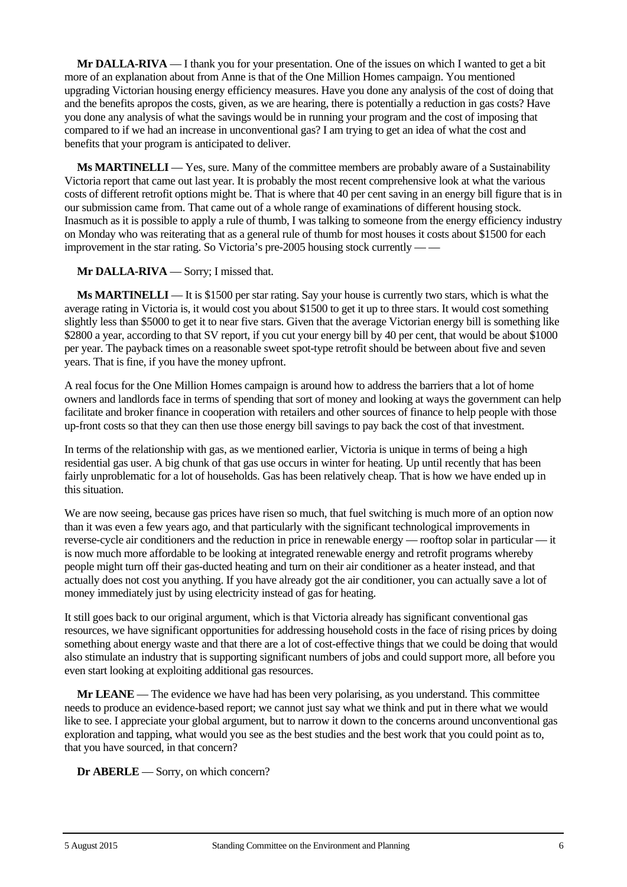**Mr DALLA-RIVA** — I thank you for your presentation. One of the issues on which I wanted to get a bit more of an explanation about from Anne is that of the One Million Homes campaign. You mentioned upgrading Victorian housing energy efficiency measures. Have you done any analysis of the cost of doing that and the benefits apropos the costs, given, as we are hearing, there is potentially a reduction in gas costs? Have you done any analysis of what the savings would be in running your program and the cost of imposing that compared to if we had an increase in unconventional gas? I am trying to get an idea of what the cost and benefits that your program is anticipated to deliver.

**Ms MARTINELLI** — Yes, sure. Many of the committee members are probably aware of a Sustainability Victoria report that came out last year. It is probably the most recent comprehensive look at what the various costs of different retrofit options might be. That is where that 40 per cent saving in an energy bill figure that is in our submission came from. That came out of a whole range of examinations of different housing stock. Inasmuch as it is possible to apply a rule of thumb, I was talking to someone from the energy efficiency industry on Monday who was reiterating that as a general rule of thumb for most houses it costs about \$1500 for each improvement in the star rating. So Victoria's pre-2005 housing stock currently — —

**Mr DALLA-RIVA** — Sorry; I missed that.

**Ms MARTINELLI** — It is \$1500 per star rating. Say your house is currently two stars, which is what the average rating in Victoria is, it would cost you about \$1500 to get it up to three stars. It would cost something slightly less than \$5000 to get it to near five stars. Given that the average Victorian energy bill is something like \$2800 a year, according to that SV report, if you cut your energy bill by 40 per cent, that would be about \$1000 per year. The payback times on a reasonable sweet spot-type retrofit should be between about five and seven years. That is fine, if you have the money upfront.

A real focus for the One Million Homes campaign is around how to address the barriers that a lot of home owners and landlords face in terms of spending that sort of money and looking at ways the government can help facilitate and broker finance in cooperation with retailers and other sources of finance to help people with those up-front costs so that they can then use those energy bill savings to pay back the cost of that investment.

In terms of the relationship with gas, as we mentioned earlier, Victoria is unique in terms of being a high residential gas user. A big chunk of that gas use occurs in winter for heating. Up until recently that has been fairly unproblematic for a lot of households. Gas has been relatively cheap. That is how we have ended up in this situation.

We are now seeing, because gas prices have risen so much, that fuel switching is much more of an option now than it was even a few years ago, and that particularly with the significant technological improvements in reverse-cycle air conditioners and the reduction in price in renewable energy — rooftop solar in particular — it is now much more affordable to be looking at integrated renewable energy and retrofit programs whereby people might turn off their gas-ducted heating and turn on their air conditioner as a heater instead, and that actually does not cost you anything. If you have already got the air conditioner, you can actually save a lot of money immediately just by using electricity instead of gas for heating.

It still goes back to our original argument, which is that Victoria already has significant conventional gas resources, we have significant opportunities for addressing household costs in the face of rising prices by doing something about energy waste and that there are a lot of cost-effective things that we could be doing that would also stimulate an industry that is supporting significant numbers of jobs and could support more, all before you even start looking at exploiting additional gas resources.

**Mr LEANE** — The evidence we have had has been very polarising, as you understand. This committee needs to produce an evidence-based report; we cannot just say what we think and put in there what we would like to see. I appreciate your global argument, but to narrow it down to the concerns around unconventional gas exploration and tapping, what would you see as the best studies and the best work that you could point as to, that you have sourced, in that concern?

**Dr ABERLE** — Sorry, on which concern?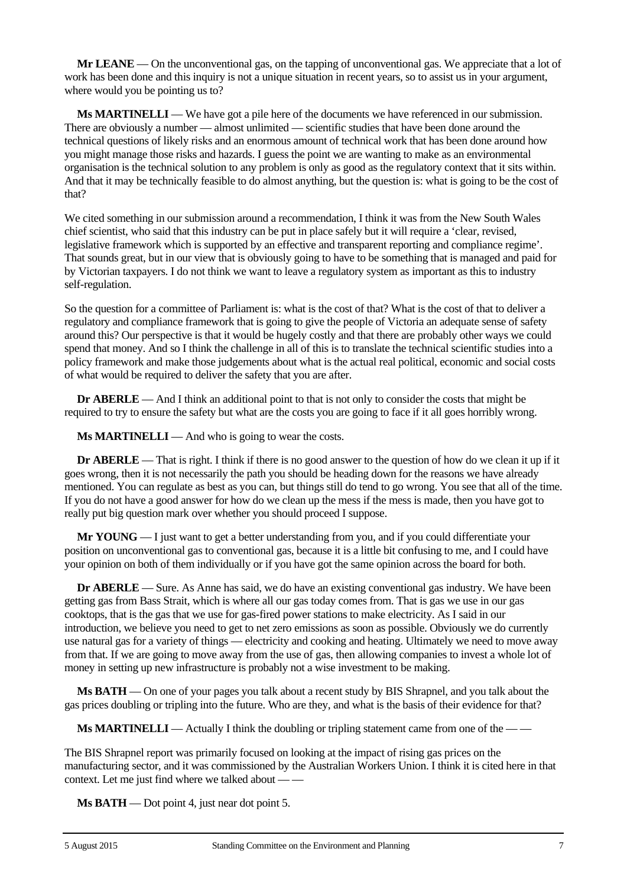**Mr LEANE** — On the unconventional gas, on the tapping of unconventional gas. We appreciate that a lot of work has been done and this inquiry is not a unique situation in recent years, so to assist us in your argument, where would you be pointing us to?

**Ms MARTINELLI** — We have got a pile here of the documents we have referenced in our submission. There are obviously a number — almost unlimited — scientific studies that have been done around the technical questions of likely risks and an enormous amount of technical work that has been done around how you might manage those risks and hazards. I guess the point we are wanting to make as an environmental organisation is the technical solution to any problem is only as good as the regulatory context that it sits within. And that it may be technically feasible to do almost anything, but the question is: what is going to be the cost of that?

We cited something in our submission around a recommendation, I think it was from the New South Wales chief scientist, who said that this industry can be put in place safely but it will require a 'clear, revised, legislative framework which is supported by an effective and transparent reporting and compliance regime'. That sounds great, but in our view that is obviously going to have to be something that is managed and paid for by Victorian taxpayers. I do not think we want to leave a regulatory system as important as this to industry self-regulation.

So the question for a committee of Parliament is: what is the cost of that? What is the cost of that to deliver a regulatory and compliance framework that is going to give the people of Victoria an adequate sense of safety around this? Our perspective is that it would be hugely costly and that there are probably other ways we could spend that money. And so I think the challenge in all of this is to translate the technical scientific studies into a policy framework and make those judgements about what is the actual real political, economic and social costs of what would be required to deliver the safety that you are after.

**Dr ABERLE** — And I think an additional point to that is not only to consider the costs that might be required to try to ensure the safety but what are the costs you are going to face if it all goes horribly wrong.

**Ms MARTINELLI** — And who is going to wear the costs.

**Dr ABERLE** — That is right. I think if there is no good answer to the question of how do we clean it up if it goes wrong, then it is not necessarily the path you should be heading down for the reasons we have already mentioned. You can regulate as best as you can, but things still do tend to go wrong. You see that all of the time. If you do not have a good answer for how do we clean up the mess if the mess is made, then you have got to really put big question mark over whether you should proceed I suppose.

**Mr YOUNG** — I just want to get a better understanding from you, and if you could differentiate your position on unconventional gas to conventional gas, because it is a little bit confusing to me, and I could have your opinion on both of them individually or if you have got the same opinion across the board for both.

**Dr ABERLE** — Sure. As Anne has said, we do have an existing conventional gas industry. We have been getting gas from Bass Strait, which is where all our gas today comes from. That is gas we use in our gas cooktops, that is the gas that we use for gas-fired power stations to make electricity. As I said in our introduction, we believe you need to get to net zero emissions as soon as possible. Obviously we do currently use natural gas for a variety of things — electricity and cooking and heating. Ultimately we need to move away from that. If we are going to move away from the use of gas, then allowing companies to invest a whole lot of money in setting up new infrastructure is probably not a wise investment to be making.

**Ms BATH** — On one of your pages you talk about a recent study by BIS Shrapnel, and you talk about the gas prices doubling or tripling into the future. Who are they, and what is the basis of their evidence for that?

**Ms MARTINELLI** — Actually I think the doubling or tripling statement came from one of the — —

The BIS Shrapnel report was primarily focused on looking at the impact of rising gas prices on the manufacturing sector, and it was commissioned by the Australian Workers Union. I think it is cited here in that context. Let me just find where we talked about — —

**Ms BATH** — Dot point 4, just near dot point 5.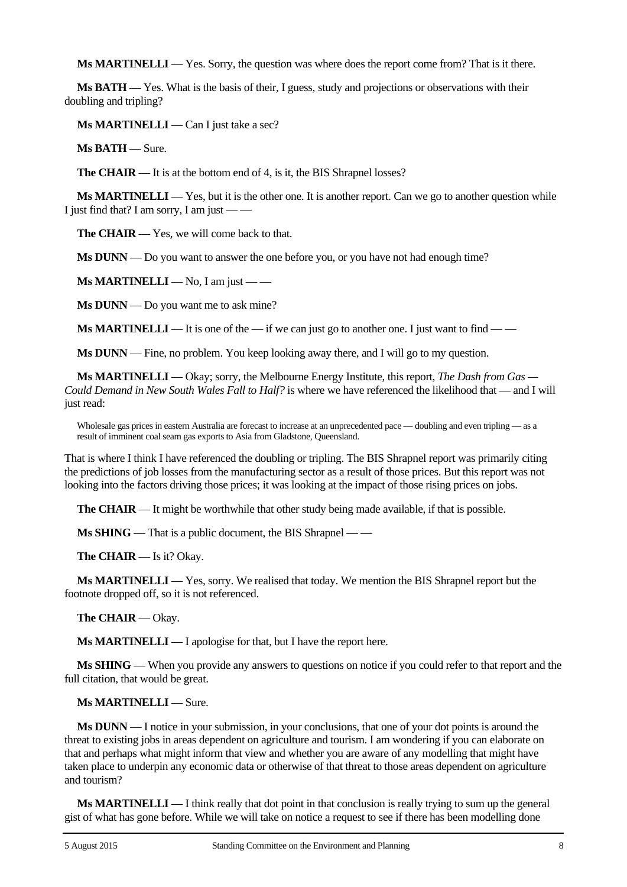**Ms MARTINELLI** — Yes. Sorry, the question was where does the report come from? That is it there.

**Ms BATH** — Yes. What is the basis of their, I guess, study and projections or observations with their doubling and tripling?

**Ms MARTINELLI** — Can I just take a sec?

**Ms BATH** — Sure.

**The CHAIR** — It is at the bottom end of 4, is it, the BIS Shrapnel losses?

**Ms MARTINELLI** — Yes, but it is the other one. It is another report. Can we go to another question while I just find that? I am sorry, I am just — —

**The CHAIR** — Yes, we will come back to that.

**Ms DUNN** — Do you want to answer the one before you, or you have not had enough time?

**Ms MARTINELLI** — No, I am just — —

**Ms DUNN** — Do you want me to ask mine?

**Ms MARTINELLI** — It is one of the — if we can just go to another one. I just want to find — —

**Ms DUNN** — Fine, no problem. You keep looking away there, and I will go to my question.

**Ms MARTINELLI** — Okay; sorry, the Melbourne Energy Institute, this report, *The Dash from Gas — Could Demand in New South Wales Fall to Half?* is where we have referenced the likelihood that — and I will just read:

Wholesale gas prices in eastern Australia are forecast to increase at an unprecedented pace — doubling and even tripling — as a result of imminent coal seam gas exports to Asia from Gladstone, Queensland.

That is where I think I have referenced the doubling or tripling. The BIS Shrapnel report was primarily citing the predictions of job losses from the manufacturing sector as a result of those prices. But this report was not looking into the factors driving those prices; it was looking at the impact of those rising prices on jobs.

**The CHAIR** — It might be worthwhile that other study being made available, if that is possible.

**Ms SHING** — That is a public document, the BIS Shrapnel — —

**The CHAIR** — Is it? Okay.

**Ms MARTINELLI** — Yes, sorry. We realised that today. We mention the BIS Shrapnel report but the footnote dropped off, so it is not referenced.

**The CHAIR** — Okay.

**Ms MARTINELLI** — I apologise for that, but I have the report here.

**Ms SHING** — When you provide any answers to questions on notice if you could refer to that report and the full citation, that would be great.

**Ms MARTINELLI** — Sure.

**Ms DUNN** — I notice in your submission, in your conclusions, that one of your dot points is around the threat to existing jobs in areas dependent on agriculture and tourism. I am wondering if you can elaborate on that and perhaps what might inform that view and whether you are aware of any modelling that might have taken place to underpin any economic data or otherwise of that threat to those areas dependent on agriculture and tourism?

**Ms MARTINELLI** — I think really that dot point in that conclusion is really trying to sum up the general gist of what has gone before. While we will take on notice a request to see if there has been modelling done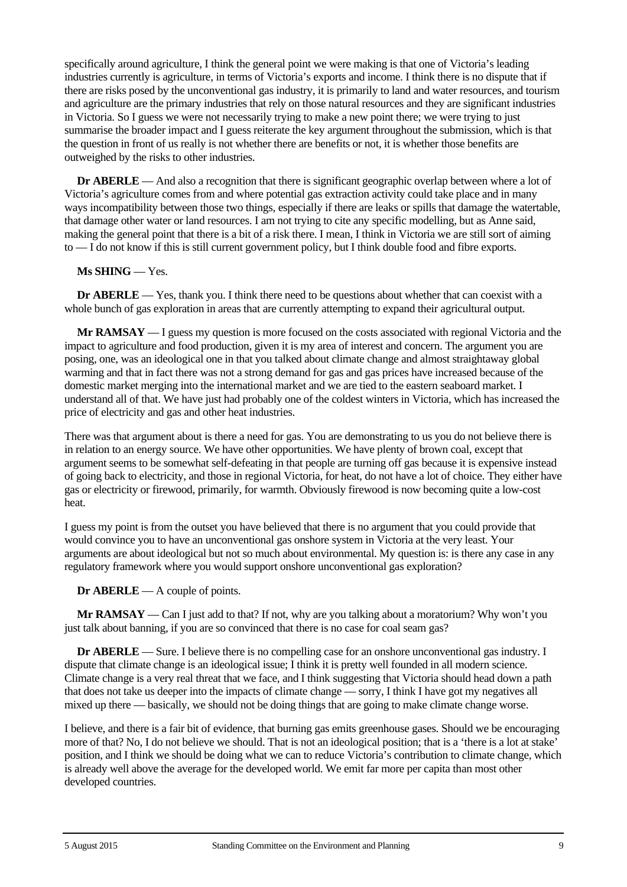specifically around agriculture, I think the general point we were making is that one of Victoria's leading industries currently is agriculture, in terms of Victoria's exports and income. I think there is no dispute that if there are risks posed by the unconventional gas industry, it is primarily to land and water resources, and tourism and agriculture are the primary industries that rely on those natural resources and they are significant industries in Victoria. So I guess we were not necessarily trying to make a new point there; we were trying to just summarise the broader impact and I guess reiterate the key argument throughout the submission, which is that the question in front of us really is not whether there are benefits or not, it is whether those benefits are outweighed by the risks to other industries.

**Dr ABERLE** — And also a recognition that there is significant geographic overlap between where a lot of Victoria's agriculture comes from and where potential gas extraction activity could take place and in many ways incompatibility between those two things, especially if there are leaks or spills that damage the watertable, that damage other water or land resources. I am not trying to cite any specific modelling, but as Anne said, making the general point that there is a bit of a risk there. I mean, I think in Victoria we are still sort of aiming to — I do not know if this is still current government policy, but I think double food and fibre exports.

#### **Ms SHING** — Yes.

**Dr ABERLE** — Yes, thank you. I think there need to be questions about whether that can coexist with a whole bunch of gas exploration in areas that are currently attempting to expand their agricultural output.

**Mr RAMSAY** — I guess my question is more focused on the costs associated with regional Victoria and the impact to agriculture and food production, given it is my area of interest and concern. The argument you are posing, one, was an ideological one in that you talked about climate change and almost straightaway global warming and that in fact there was not a strong demand for gas and gas prices have increased because of the domestic market merging into the international market and we are tied to the eastern seaboard market. I understand all of that. We have just had probably one of the coldest winters in Victoria, which has increased the price of electricity and gas and other heat industries.

There was that argument about is there a need for gas. You are demonstrating to us you do not believe there is in relation to an energy source. We have other opportunities. We have plenty of brown coal, except that argument seems to be somewhat self-defeating in that people are turning off gas because it is expensive instead of going back to electricity, and those in regional Victoria, for heat, do not have a lot of choice. They either have gas or electricity or firewood, primarily, for warmth. Obviously firewood is now becoming quite a low-cost heat.

I guess my point is from the outset you have believed that there is no argument that you could provide that would convince you to have an unconventional gas onshore system in Victoria at the very least. Your arguments are about ideological but not so much about environmental. My question is: is there any case in any regulatory framework where you would support onshore unconventional gas exploration?

#### **Dr ABERLE** — A couple of points.

**Mr RAMSAY** — Can I just add to that? If not, why are you talking about a moratorium? Why won't you just talk about banning, if you are so convinced that there is no case for coal seam gas?

**Dr ABERLE** — Sure. I believe there is no compelling case for an onshore unconventional gas industry. I dispute that climate change is an ideological issue; I think it is pretty well founded in all modern science. Climate change is a very real threat that we face, and I think suggesting that Victoria should head down a path that does not take us deeper into the impacts of climate change — sorry, I think I have got my negatives all mixed up there — basically, we should not be doing things that are going to make climate change worse.

I believe, and there is a fair bit of evidence, that burning gas emits greenhouse gases. Should we be encouraging more of that? No, I do not believe we should. That is not an ideological position; that is a 'there is a lot at stake' position, and I think we should be doing what we can to reduce Victoria's contribution to climate change, which is already well above the average for the developed world. We emit far more per capita than most other developed countries.